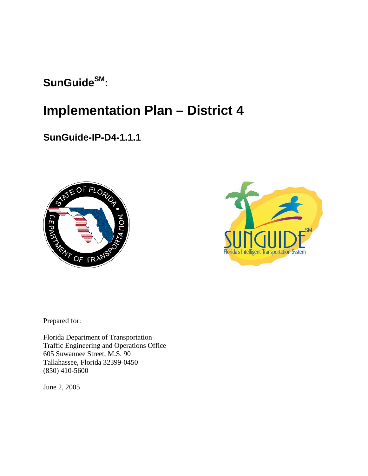# SunGuide<sup>SM</sup>:

# **Implementation Plan – District 4**

# **SunGuide-IP-D4-1.1.1**





Prepared for:

Florida Department of Transportation Traffic Engineering and Operations Office 605 Suwannee Street, M.S. 90 Tallahassee, Florida 32399-0450 (850) 410-5600

June 2, 2005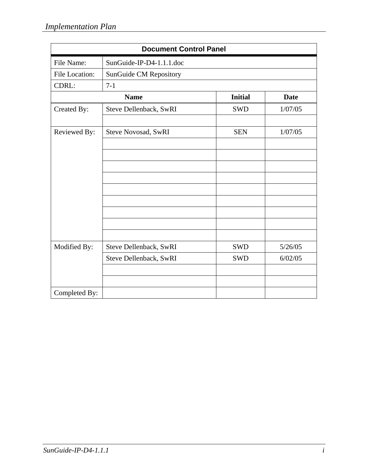| <b>Document Control Panel</b> |                          |                |             |
|-------------------------------|--------------------------|----------------|-------------|
| File Name:                    | SunGuide-IP-D4-1.1.1.doc |                |             |
| File Location:                | SunGuide CM Repository   |                |             |
| CDRL:                         | $7-1$                    |                |             |
|                               | <b>Name</b>              | <b>Initial</b> | <b>Date</b> |
| Created By:                   | Steve Dellenback, SwRI   | <b>SWD</b>     | 1/07/05     |
|                               |                          |                |             |
| Reviewed By:                  | Steve Novosad, SwRI      | <b>SEN</b>     | 1/07/05     |
|                               |                          |                |             |
|                               |                          |                |             |
|                               |                          |                |             |
|                               |                          |                |             |
|                               |                          |                |             |
|                               |                          |                |             |
|                               |                          |                |             |
|                               |                          |                |             |
|                               |                          |                |             |
| Modified By:                  | Steve Dellenback, SwRI   | <b>SWD</b>     | 5/26/05     |
|                               | Steve Dellenback, SwRI   | <b>SWD</b>     | 6/02/05     |
|                               |                          |                |             |
|                               |                          |                |             |
| Completed By:                 |                          |                |             |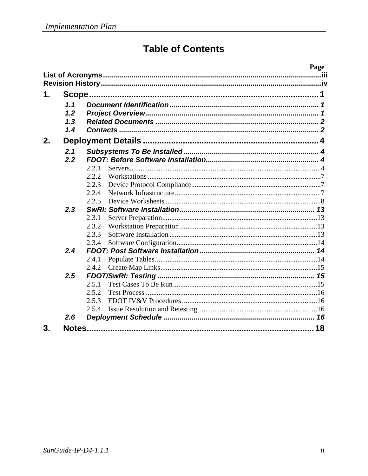# **Table of Contents**

|    |     |       | Page |
|----|-----|-------|------|
|    |     |       | iii  |
|    |     |       |      |
| 1. |     |       |      |
|    | 1.1 |       |      |
|    | 1.2 |       |      |
|    | 1.3 |       |      |
|    | 1.4 |       |      |
| 2. |     |       |      |
|    | 2.1 |       |      |
|    | 2.2 |       |      |
|    |     | 2.2.1 |      |
|    |     | 2.2.2 |      |
|    |     | 2.2.3 |      |
|    |     | 2.2.4 |      |
|    |     | 2.2.5 |      |
|    | 2.3 |       |      |
|    |     | 2.3.1 |      |
|    |     | 2.3.2 |      |
|    |     | 2.3.3 |      |
|    |     | 2.3.4 |      |
|    | 2.4 |       |      |
|    |     | 2.4.1 |      |
|    |     | 2.4.2 |      |
|    | 2.5 |       |      |
|    |     | 2.5.1 |      |
|    |     | 2.5.2 |      |
|    |     | 2.5.3 |      |
|    |     | 2.5.4 |      |
|    | 2.6 |       |      |
| 3. |     |       | 18   |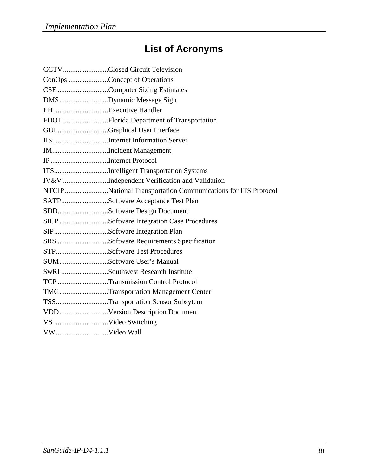# **List of Acronyms**

|                     | CCTVClosed Circuit Television                                 |
|---------------------|---------------------------------------------------------------|
|                     | ConOps Concept of Operations                                  |
|                     | CSE Computer Sizing Estimates                                 |
|                     | DMSDynamic Message Sign                                       |
|                     |                                                               |
|                     | FDOT Florida Department of Transportation                     |
|                     | GUI Graphical User Interface                                  |
|                     |                                                               |
|                     | IMIncident Management                                         |
| IPInternet Protocol |                                                               |
|                     | ITSIntelligent Transportation Systems                         |
|                     | IV&V Independent Verification and Validation                  |
|                     | NTCIP National Transportation Communications for ITS Protocol |
|                     | SATPSoftware Acceptance Test Plan                             |
|                     | SDDSoftware Design Document                                   |
|                     | SICP Software Integration Case Procedures                     |
|                     | SIPSoftware Integration Plan                                  |
|                     | SRS Software Requirements Specification                       |
|                     | STPSoftware Test Procedures                                   |
|                     | SUMSoftware User's Manual                                     |
|                     | SwRI Southwest Research Institute                             |
|                     | TCP Transmission Control Protocol                             |
|                     | TMCTransportation Management Center                           |
|                     | TSSTransportation Sensor Subsytem                             |
|                     | VDDVersion Description Document                               |
| VS Video Switching  |                                                               |
|                     |                                                               |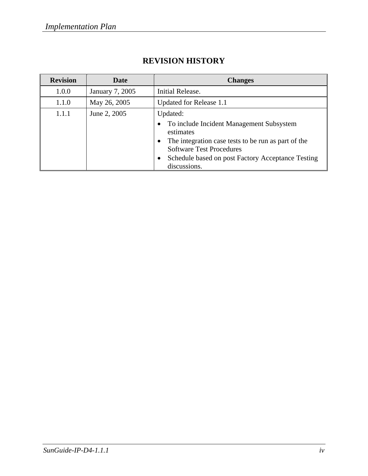| <b>Revision</b> | <b>Date</b>     | <b>Changes</b>                                                                                                                                                                                                                   |
|-----------------|-----------------|----------------------------------------------------------------------------------------------------------------------------------------------------------------------------------------------------------------------------------|
| 1.0.0           | January 7, 2005 | Initial Release.                                                                                                                                                                                                                 |
| 1.1.0           | May 26, 2005    | Updated for Release 1.1                                                                                                                                                                                                          |
| 1.1.1           | June 2, 2005    | Updated:<br>To include Incident Management Subsystem<br>estimates<br>The integration case tests to be run as part of the<br><b>Software Test Procedures</b><br>Schedule based on post Factory Acceptance Testing<br>discussions. |

# **REVISION HISTORY**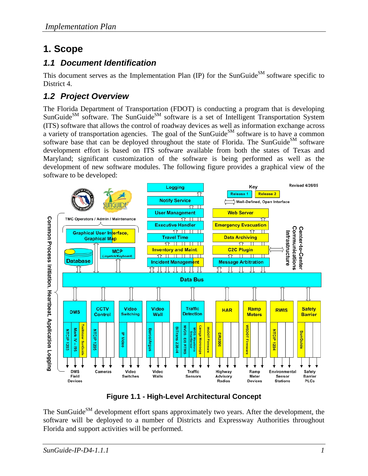# **1. Scope**

## *1.1 Document Identification*

This document serves as the Implementation Plan (IP) for the SunGuide<sup>SM</sup> software specific to District 4.

# *1.2 Project Overview*

The Florida Department of Transportation (FDOT) is conducting a program that is developing  $S$ unGuide<sup>SM</sup> software. The SunGuide<sup>SM</sup> software is a set of Intelligent Transportation System (ITS) software that allows the control of roadway devices as well as information exchange across a variety of transportation agencies. The goal of the SunGuide<sup>SM</sup> software is to have a common software base that can be deployed throughout the state of Florida. The SunGuide<sup>SM</sup> software development effort is based on ITS software available from both the states of Texas and Maryland; significant customization of the software is being performed as well as the development of new software modules. The following figure provides a graphical view of the software to be developed:



**Figure 1.1 - High-Level Architectural Concept** 

The SunGuide<sup>SM</sup> development effort spans approximately two years. After the development, the software will be deployed to a number of Districts and Expressway Authorities throughout Florida and support activities will be performed.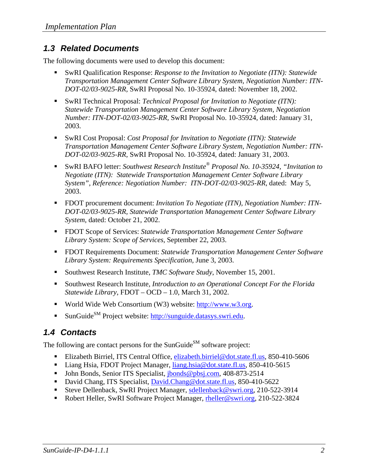### *1.3 Related Documents*

The following documents were used to develop this document:

- SwRI Qualification Response: *Response to the Invitation to Negotiate (ITN): Statewide Transportation Management Center Software Library System, Negotiation Number: ITN-DOT-02/03-9025-RR,* SwRI Proposal No. 10-35924, dated: November 18, 2002.
- SwRI Technical Proposal: *Technical Proposal for Invitation to Negotiate (ITN): Statewide Transportation Management Center Software Library System, Negotiation Number: ITN-DOT-02/03-9025-RR,* SwRI Proposal No. 10-35924, dated: January 31, 2003.
- SwRI Cost Proposal: *Cost Proposal for Invitation to Negotiate (ITN): Statewide Transportation Management Center Software Library System, Negotiation Number: ITN-DOT-02/03-9025-RR,* SwRI Proposal No. 10-35924, dated: January 31, 2003.
- SwRI BAFO letter: *Southwest Research Institute® Proposal No. 10-35924, "Invitation to Negotiate (ITN): Statewide Transportation Management Center Software Library System", Reference: Negotiation Number: ITN-DOT-02/03-9025-RR*, dated: May 5, 2003.
- FDOT procurement document: *Invitation To Negotiate (ITN), Negotiation Number: ITN DOT-02/03-9025-RR, Statewide Transportation Management Center Software Library System*, dated: October 21, 2002.
- FDOT Scope of Services: *Statewide Transportation Management Center Software Library System: Scope of Services,* September 22, 2003.
- FDOT Requirements Document: *Statewide Transportation Management Center Software Library System: Requirements Specification,* June 3, 2003.
- Southwest Research Institute, *TMC Software Study*, November 15, 2001.
- Southwest Research Institute, *Introduction to an Operational Concept For the Florida Statewide Library*, FDOT – OCD – 1.0, March 31, 2002.
- World Wide Web Consortium (W3) website:  $\frac{http://www.w3.org.}{http://www.w3.org.}$
- SunGuide<sup>SM</sup> Project website: http://sunguide.datasys.swri.edu.

# *1.4 Contacts*

The following are contact persons for the SunGuide<sup>SM</sup> software project:

- Elizabeth Birriel, ITS Central Office, elizabeth.birriel@dot.state.fl.us, 850-410-5606
- Liang Hsia, FDOT Project Manager, liang.hsia@dot.state.fl.us, 850-410-5615
- John Bonds, Senior ITS Specialist, jbonds@pbsj.com, 408-873-2514
- David Chang, ITS Specialist, David.Chang@dot.state.fl.us, 850-410-5622
- Steve Dellenback, SwRI Project Manager, sdellenback@swri.org, 210-522-3914
- Robert Heller, SwRI Software Project Manager, rheller@swri.org, 210-522-3824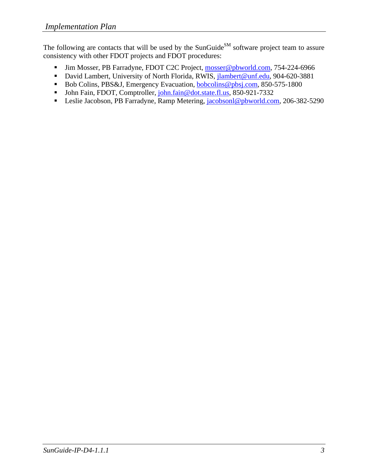The following are contacts that will be used by the SunGuide<sup>SM</sup> software project team to assure consistency with other FDOT projects and FDOT procedures:

- Iim Mosser, PB Farradyne, FDOT C2C Project, mosser@pbworld.com, 754-224-6966
- David Lambert, University of North Florida, RWIS, jlambert@unf.edu, 904-620-3881
- Bob Colins, PBS&J, Emergency Evacuation, bobcolins@pbsj.com, 850-575-1800
- John Fain, FDOT, Comptroller, john.fain@dot.state.fl.us, 850-921-7332
- Leslie Jacobson, PB Farradyne, Ramp Metering, jacobsonl@pbworld.com, 206-382-5290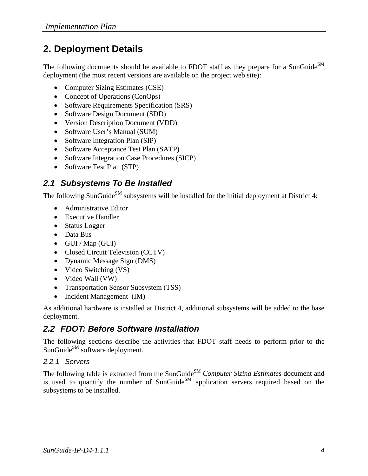# **2. Deployment Details**

The following documents should be available to FDOT staff as they prepare for a SunGuide<sup>SM</sup> deployment (the most recent versions are available on the project web site):

- Computer Sizing Estimates (CSE)
- Concept of Operations (ConOps)
- Software Requirements Specification (SRS)
- Software Design Document (SDD)
- Version Description Document (VDD)
- Software User's Manual (SUM)
- Software Integration Plan (SIP)
- Software Acceptance Test Plan (SATP)
- Software Integration Case Procedures (SICP)
- Software Test Plan (STP)

## *2.1 Subsystems To Be Installed*

The following SunGuide<sup>SM</sup> subsystems will be installed for the initial deployment at District 4:

- Administrative Editor
- Executive Handler
- Status Logger
- Data Bus
- GUI / Map (GUI)
- Closed Circuit Television (CCTV)
- Dynamic Message Sign (DMS)
- Video Switching (VS)
- Video Wall (VW)
- Transportation Sensor Subsystem (TSS)
- Incident Management (IM)

As additional hardware is installed at District 4, additional subsystems will be added to the base deployment.

## *2.2 FDOT: Before Software Installation*

The following sections describe the activities that FDOT staff needs to perform prior to the SunGuide<sup>SM</sup> software deployment.

#### *2.2.1 Servers*

The following table is extracted from the SunGuide<sup>SM</sup> *Computer Sizing Estimates* document and is used to quantify the number of SunGuide<sup>SM</sup> application servers required based on the subsystems to be installed.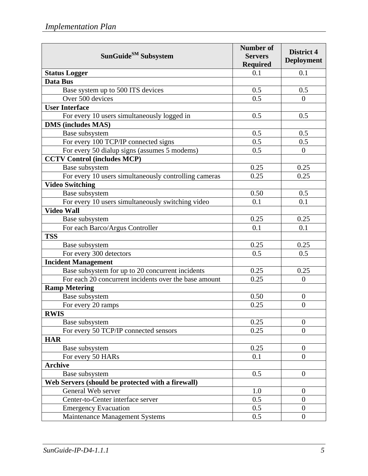| SunGuide <sup>SM</sup> Subsystem                      | <b>Number of</b><br><b>Servers</b><br><b>Required</b> | <b>District 4</b><br><b>Deployment</b> |
|-------------------------------------------------------|-------------------------------------------------------|----------------------------------------|
| <b>Status Logger</b>                                  | 0.1                                                   | 0.1                                    |
| Data Bus                                              |                                                       |                                        |
| Base system up to 500 ITS devices                     | 0.5                                                   | 0.5                                    |
| Over 500 devices                                      | 0.5                                                   | $\overline{0}$                         |
| <b>User Interface</b>                                 |                                                       |                                        |
| For every 10 users simultaneously logged in           | 0.5                                                   | 0.5                                    |
| <b>DMS</b> (includes MAS)                             |                                                       |                                        |
| Base subsystem                                        | 0.5                                                   | 0.5                                    |
| For every 100 TCP/IP connected signs                  | 0.5                                                   | 0.5                                    |
| For every 50 dialup signs (assumes 5 modems)          | 0.5                                                   | $\overline{0}$                         |
| <b>CCTV Control (includes MCP)</b>                    |                                                       |                                        |
| Base subsystem                                        | 0.25                                                  | 0.25                                   |
| For every 10 users simultaneously controlling cameras | 0.25                                                  | 0.25                                   |
| <b>Video Switching</b>                                |                                                       |                                        |
| Base subsystem                                        | 0.50                                                  | 0.5                                    |
| For every 10 users simultaneously switching video     | 0.1                                                   | 0.1                                    |
| <b>Video Wall</b>                                     |                                                       |                                        |
| Base subsystem                                        | 0.25                                                  | 0.25                                   |
| For each Barco/Argus Controller                       | 0.1                                                   | 0.1                                    |
| <b>TSS</b>                                            |                                                       |                                        |
| Base subsystem                                        | 0.25                                                  | 0.25                                   |
| For every 300 detectors                               | 0.5                                                   | 0.5                                    |
| <b>Incident Management</b>                            |                                                       |                                        |
| Base subsystem for up to 20 concurrent incidents      | 0.25                                                  | 0.25                                   |
| For each 20 concurrent incidents over the base amount | 0.25                                                  | $\overline{0}$                         |
| <b>Ramp Metering</b>                                  |                                                       |                                        |
| Base subsystem                                        | 0.50                                                  | $\boldsymbol{0}$                       |
| For every 20 ramps                                    | 0.25                                                  | $\overline{0}$                         |
| <b>RWIS</b>                                           |                                                       |                                        |
| Base subsystem                                        | 0.25                                                  | $\theta$                               |
| For every 50 TCP/IP connected sensors                 | 0.25                                                  | $\overline{0}$                         |
| <b>HAR</b>                                            |                                                       |                                        |
| Base subsystem                                        | 0.25                                                  | $\theta$                               |
| For every 50 HARs                                     | 0.1                                                   | $\overline{0}$                         |
| <b>Archive</b>                                        |                                                       |                                        |
| Base subsystem                                        | 0.5                                                   | $\overline{0}$                         |
| Web Servers (should be protected with a firewall)     |                                                       |                                        |
| General Web server                                    | 1.0                                                   | $\theta$                               |
| Center-to-Center interface server                     | 0.5                                                   | $\overline{0}$                         |
| <b>Emergency Evacuation</b>                           | 0.5                                                   | $\boldsymbol{0}$                       |
| Maintenance Management Systems                        | 0.5                                                   | $\overline{0}$                         |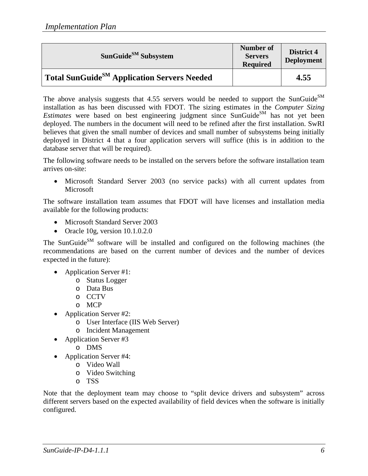| SunGuide <sup>SM</sup> Subsystem                        | Number of<br><b>Servers</b><br><b>Required</b> | District 4<br><b>Deployment</b> |
|---------------------------------------------------------|------------------------------------------------|---------------------------------|
| Total SunGuide <sup>SM</sup> Application Servers Needed |                                                | 4.55                            |

The above analysis suggests that  $4.55$  servers would be needed to support the SunGuide<sup>SM</sup> installation as has been discussed with FDOT. The sizing estimates in the *Computer Sizing Estimates* were based on best engineering judgment since SunGuide<sup>SM</sup> has not yet been deployed. The numbers in the document will need to be refined after the first installation. SwRI believes that given the small number of devices and small number of subsystems being initially deployed in District 4 that a four application servers will suffice (this is in addition to the database server that will be required).

The following software needs to be installed on the servers before the software installation team arrives on-site:

• Microsoft Standard Server 2003 (no service packs) with all current updates from **Microsoft** 

The software installation team assumes that FDOT will have licenses and installation media available for the following products:

- Microsoft Standard Server 2003
- Oracle 10g, version 10.1.0.2.0

The SunGuide<sup>SM</sup> software will be installed and configured on the following machines (the recommendations are based on the current number of devices and the number of devices expected in the future):

- Application Server #1:
	- o Status Logger
	- o Data Bus
	- o CCTV
	- o MCP
- Application Server #2:
	- o User Interface (IIS Web Server)
	- o Incident Management
- Application Server #3
	- o DMS
- Application Server #4:
	- o Video Wall
	- o Video Switching
	- o TSS

Note that the deployment team may choose to "split device drivers and subsystem" across different servers based on the expected availability of field devices when the software is initially configured.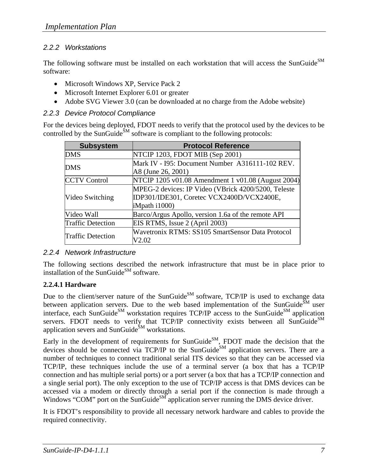#### *2.2.2 Workstations*

The following software must be installed on each workstation that will access the SunGuide<sup>SM</sup> software:

- Microsoft Windows XP, Service Pack 2
- Microsoft Internet Explorer 6.01 or greater
- Adobe SVG Viewer 3.0 (can be downloaded at no charge from the Adobe website)

#### *2.2.3 Device Protocol Compliance*

For the devices being deployed, FDOT needs to verify that the protocol used by the devices to be controlled by the SunGuide<sup>SM</sup> software is compliant to the following protocols:

| <b>Subsystem</b>         | <b>Protocol Reference</b>                           |
|--------------------------|-----------------------------------------------------|
| <b>DMS</b>               | NTCIP 1203, FDOT MIB (Sep 2001)                     |
| <b>DMS</b>               | Mark IV - I95: Document Number A316111-102 REV.     |
|                          | A8 (June 26, 2001)                                  |
| <b>CCTV Control</b>      | NTCIP 1205 v01.08 Amendment 1 v01.08 (August 2004)  |
|                          | MPEG-2 devices: IP Video (VBrick 4200/5200, Teleste |
| Video Switching          | IDP301/IDE301, Coretec VCX2400D/VCX2400E,           |
|                          | iMpath i1000)                                       |
| Video Wall               | Barco/Argus Apollo, version 1.6a of the remote API  |
| <b>Traffic Detection</b> | EIS RTMS, Issue 2 (April 2003)                      |
|                          | Wavetronix RTMS: SS105 SmartSensor Data Protocol    |
| <b>Traffic Detection</b> | V2.02                                               |

#### *2.2.4 Network Infrastructure*

The following sections described the network infrastructure that must be in place prior to installation of the SunGuide<sup>SM</sup> software.

#### **2.2.4.1 Hardware**

Due to the client/server nature of the SunGuide<sup>SM</sup> software, TCP/IP is used to exchange data between application servers. Due to the web based implementation of the SunGuide<sup>SM</sup> user interface, each SunGuide<sup>SM</sup> workstation requires  $TCP/IP$  access to the SunGuide<sup>SM</sup> application servers. FDOT needs to verify that TCP/IP connectivity exists between all SunGuide $^{SM}$ application severs and SunGuide<sup>SM</sup> workstations.

Early in the development of requirements for SunGuide $^{SM}$ , FDOT made the decision that the devices should be connected via TCP/IP to the SunGuide<sup>SM</sup> application servers. There are a number of techniques to connect traditional serial ITS devices so that they can be accessed via TCP/IP, these techniques include the use of a terminal server (a box that has a TCP/IP connection and has multiple serial ports) or a port server (a box that has a TCP/IP connection and a single serial port). The only exception to the use of TCP/IP access is that DMS devices can be accessed via a modem or directly through a serial port if the connection is made through a Windows "COM" port on the SunGuide $^{SM}$  application server running the DMS device driver.

It is FDOT's responsibility to provide all necessary network hardware and cables to provide the required connectivity.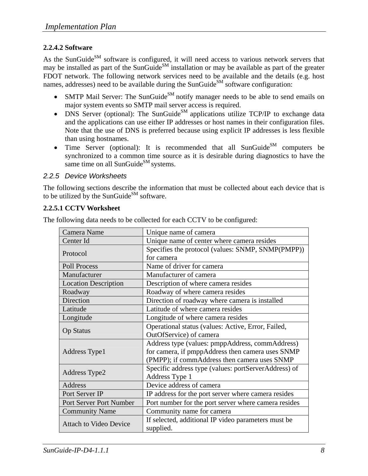#### **2.2.4.2 Software**

As the SunGuide<sup>SM</sup> software is configured, it will need access to various network servers that may be installed as part of the SunGuide<sup>SM</sup> installation or may be available as part of the greater FDOT network. The following network services need to be available and the details (e.g. host names, addresses) need to be available during the SunGuide<sup>SM</sup> software configuration:

- SMTP Mail Server: The SunGuide<sup>SM</sup> notify manager needs to be able to send emails on major system events so SMTP mail server access is required.
- DNS Server (optional): The SunGuide<sup>SM</sup> applications utilize TCP/IP to exchange data and the applications can use either IP addresses or host names in their configuration files. Note that the use of DNS is preferred because using explicit IP addresses is less flexible than using hostnames.
- Time Server (optional): It is recommended that all SunGuide<sup>SM</sup> computers be synchronized to a common time source as it is desirable during diagnostics to have the same time on all SunGuide $^{SM}$  systems.

#### *2.2.5 Device Worksheets*

The following sections describe the information that must be collected about each device that is to be utilized by the SunGuide<sup>SM</sup> software.

#### **2.2.5.1 CCTV Worksheet**

| Camera Name                   | Unique name of camera                                |
|-------------------------------|------------------------------------------------------|
| Center Id                     | Unique name of center where camera resides           |
| Protocol                      | Specifies the protocol (values: SNMP, SNMP(PMPP))    |
|                               | for camera                                           |
| <b>Poll Process</b>           | Name of driver for camera                            |
| Manufacturer                  | Manufacturer of camera                               |
| <b>Location Description</b>   | Description of where camera resides                  |
| Roadway                       | Roadway of where camera resides                      |
| Direction                     | Direction of roadway where camera is installed       |
| Latitude                      | Latitude of where camera resides                     |
| Longitude                     | Longitude of where camera resides                    |
|                               | Operational status (values: Active, Error, Failed,   |
| <b>Op Status</b>              | OutOfService) of camera                              |
|                               | Address type (values: pmppAddress, commAddress)      |
| Address Type1                 | for camera, if pmppAddress then camera uses SNMP     |
|                               | (PMPP); if commAddress then camera uses SNMP         |
|                               | Specific address type (values: portServerAddress) of |
| Address Type2                 | Address Type 1                                       |
| Address                       | Device address of camera                             |
| Port Server IP                | IP address for the port server where camera resides  |
| Port Server Port Number       | Port number for the port server where camera resides |
| <b>Community Name</b>         | Community name for camera                            |
| <b>Attach to Video Device</b> | If selected, additional IP video parameters must be  |
|                               | supplied.                                            |

The following data needs to be collected for each CCTV to be configured: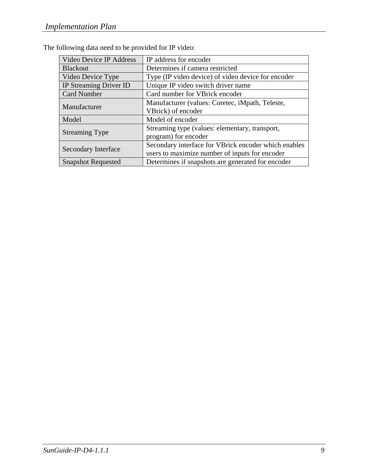| Video Device IP Address    | IP address for encoder                               |
|----------------------------|------------------------------------------------------|
| <b>Blackout</b>            | Determines if camera restricted                      |
| Video Device Type          | Type (IP video device) of video device for encoder   |
| IP Streaming Driver ID     | Unique IP video switch driver name                   |
| <b>Card Number</b>         | Card number for VBrick encoder                       |
| Manufacturer               | Manufacturer (values: Coretec, iMpath, Teleste,      |
|                            | VBrick) of encoder                                   |
| Model                      | Model of encoder                                     |
|                            | Streaming type (values: elementary, transport,       |
| <b>Streaming Type</b>      | program) for encoder                                 |
| <b>Secondary Interface</b> | Secondary interface for VBrick encoder which enables |
|                            | users to maximize number of inputs for encoder       |
| <b>Snapshot Requested</b>  | Determines if snapshots are generated for encoder    |

The following data need to be provided for IP video: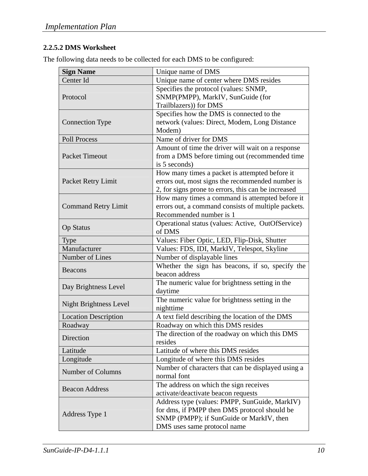#### **2.2.5.2 DMS Worksheet**

The following data needs to be collected for each DMS to be configured:

| <b>Sign Name</b>              | Unique name of DMS                                                 |
|-------------------------------|--------------------------------------------------------------------|
| Center Id                     | Unique name of center where DMS resides                            |
|                               | Specifies the protocol (values: SNMP,                              |
| Protocol                      | SNMP(PMPP), MarkIV, SunGuide (for                                  |
|                               | Trailblazers)) for DMS                                             |
|                               | Specifies how the DMS is connected to the                          |
| <b>Connection Type</b>        | network (values: Direct, Modem, Long Distance                      |
|                               | Modem)                                                             |
| <b>Poll Process</b>           | Name of driver for DMS                                             |
|                               | Amount of time the driver will wait on a response                  |
| <b>Packet Timeout</b>         | from a DMS before timing out (recommended time                     |
|                               | is 5 seconds)                                                      |
|                               | How many times a packet is attempted before it                     |
| Packet Retry Limit            | errors out, most signs the recommended number is                   |
|                               | 2, for signs prone to errors, this can be increased                |
|                               | How many times a command is attempted before it                    |
| <b>Command Retry Limit</b>    | errors out, a command consists of multiple packets.                |
|                               | Recommended number is 1                                            |
| <b>Op Status</b>              | Operational status (values: Active, OutOfService)                  |
|                               | of DMS                                                             |
| <b>Type</b>                   | Values: Fiber Optic, LED, Flip-Disk, Shutter                       |
| Manufacturer                  | Values: FDS, IDI, MarkIV, Telespot, Skyline                        |
| Number of Lines               | Number of displayable lines                                        |
| Beacons                       | Whether the sign has beacons, if so, specify the<br>beacon address |
| Day Brightness Level          | The numeric value for brightness setting in the<br>daytime         |
|                               | The numeric value for brightness setting in the                    |
| <b>Night Brightness Level</b> | nighttime                                                          |
| <b>Location Description</b>   | A text field describing the location of the DMS                    |
| Roadway                       | Roadway on which this DMS resides                                  |
|                               | The direction of the roadway on which this DMS                     |
| Direction                     | resides                                                            |
| Latitude                      | Latitude of where this DMS resides                                 |
| Longitude                     | Longitude of where this DMS resides                                |
| <b>Number of Columns</b>      | Number of characters that can be displayed using a                 |
|                               | normal font                                                        |
| <b>Beacon Address</b>         | The address on which the sign receives                             |
|                               | activate/deactivate beacon requests                                |
|                               | Address type (values: PMPP, SunGuide, MarkIV)                      |
|                               | for dms, if PMPP then DMS protocol should be                       |
| Address Type 1                | SNMP (PMPP); if SunGuide or MarkIV, then                           |
|                               | DMS uses same protocol name                                        |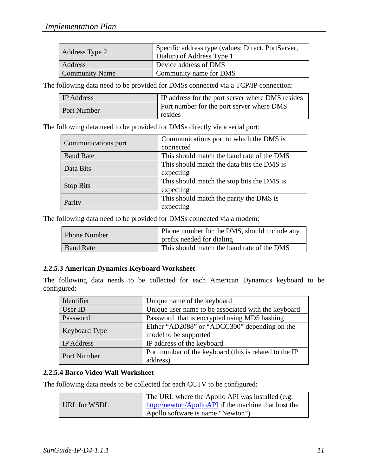| Address Type 2        | Specific address type (values: Direct, PortServer,<br>Dialup) of Address Type 1 |
|-----------------------|---------------------------------------------------------------------------------|
| Address               | Device address of DMS                                                           |
| <b>Community Name</b> | Community name for DMS                                                          |

The following data need to be provided for DMSs connected via a TCP/IP connection:

| <b>IP</b> Address  | <b>IP</b> address for the port server where DMS resides     |
|--------------------|-------------------------------------------------------------|
| <b>Port Number</b> | <b>Port number for the port server where DMS</b><br>resides |

The following data need to be provided for DMSs directly via a serial port:

| Communications port | Communications port to which the DMS is<br>connected    |  |  |  |  |  |  |
|---------------------|---------------------------------------------------------|--|--|--|--|--|--|
| <b>Baud Rate</b>    | This should match the baud rate of the DMS              |  |  |  |  |  |  |
| Data Bits           | This should match the data bits the DMS is<br>expecting |  |  |  |  |  |  |
| <b>Stop Bits</b>    | This should match the stop bits the DMS is<br>expecting |  |  |  |  |  |  |
| Parity              | This should match the parity the DMS is<br>expecting    |  |  |  |  |  |  |

The following data need to be provided for DMSs connected via a modem:

| Phone Number     | Phone number for the DMS, should include any<br>prefix needed for dialing |
|------------------|---------------------------------------------------------------------------|
| <b>Baud Rate</b> | This should match the baud rate of the DMS                                |

#### **2.2.5.3 American Dynamics Keyboard Worksheet**

The following data needs to be collected for each American Dynamics keyboard to be configured:

| Identifier        | Unique name of the keyboard                            |
|-------------------|--------------------------------------------------------|
| User ID           | Unique user name to be associated with the keyboard    |
| Password          | Password that is encrypted using MD5 hashing           |
| Keyboard Type     | Either "AD2088" or "ADCC300" depending on the          |
|                   | model to be supported                                  |
| <b>IP</b> Address | IP address of the keyboard                             |
|                   | Port number of the keyboard (this is related to the IP |
| Port Number       | address)                                               |

#### **2.2.5.4 Barco Video Wall Worksheet**

The following data needs to be collected for each CCTV to be configured:

|              | The URL where the Apollo API was installed (e.g.     |
|--------------|------------------------------------------------------|
| URL for WSDL | http://newton/ApolloAPI if the machine that host the |
|              | Apollo software is name "Newton"                     |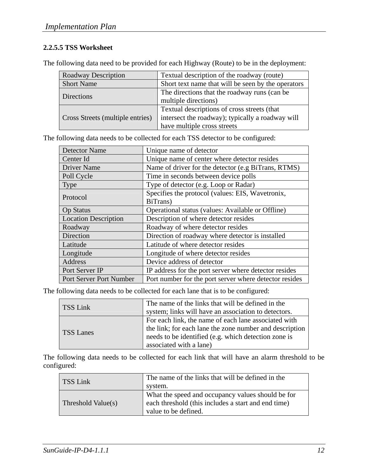#### **2.2.5.5 TSS Worksheet**

The following data need to be provided for each Highway (Route) to be in the deployment:

| <b>Roadway Description</b>       | Textual description of the roadway (route)                                                                                     |
|----------------------------------|--------------------------------------------------------------------------------------------------------------------------------|
| <b>Short Name</b>                | Short text name that will be seen by the operators                                                                             |
| <b>Directions</b>                | The directions that the roadway runs (can be<br>multiple directions)                                                           |
| Cross Streets (multiple entries) | Textual descriptions of cross streets (that<br>intersect the roadway); typically a roadway will<br>have multiple cross streets |

The following data needs to be collected for each TSS detector to be configured:

| <b>Detector Name</b>           | Unique name of detector                                |  |  |  |  |  |  |  |
|--------------------------------|--------------------------------------------------------|--|--|--|--|--|--|--|
| Center Id                      | Unique name of center where detector resides           |  |  |  |  |  |  |  |
| <b>Driver Name</b>             | Name of driver for the detector (e.g BiTrans, RTMS)    |  |  |  |  |  |  |  |
| Poll Cycle                     | Time in seconds between device polls                   |  |  |  |  |  |  |  |
| <b>Type</b>                    | Type of detector (e.g. Loop or Radar)                  |  |  |  |  |  |  |  |
|                                | Specifies the protocol (values: EIS, Wavetronix,       |  |  |  |  |  |  |  |
| Protocol                       | BiTrans)                                               |  |  |  |  |  |  |  |
| <b>Op Status</b>               | Operational status (values: Available or Offline)      |  |  |  |  |  |  |  |
| <b>Location Description</b>    | Description of where detector resides                  |  |  |  |  |  |  |  |
| Roadway                        | Roadway of where detector resides                      |  |  |  |  |  |  |  |
| Direction                      | Direction of roadway where detector is installed       |  |  |  |  |  |  |  |
| Latitude                       | Latitude of where detector resides                     |  |  |  |  |  |  |  |
| Longitude                      | Longitude of where detector resides                    |  |  |  |  |  |  |  |
| Address                        | Device address of detector                             |  |  |  |  |  |  |  |
| Port Server IP                 | IP address for the port server where detector resides  |  |  |  |  |  |  |  |
| <b>Port Server Port Number</b> | Port number for the port server where detector resides |  |  |  |  |  |  |  |

The following data needs to be collected for each lane that is to be configured:

| TSS Link         | The name of the links that will be defined in the       |
|------------------|---------------------------------------------------------|
|                  | system; links will have an association to detectors.    |
| <b>TSS Lanes</b> | For each link, the name of each lane associated with    |
|                  | the link; for each lane the zone number and description |
|                  | needs to be identified (e.g. which detection zone is    |
|                  | associated with a lane)                                 |

The following data needs to be collected for each link that will have an alarm threshold to be configured:

| TSS Link           | The name of the links that will be defined in the<br>system.                                                                     |
|--------------------|----------------------------------------------------------------------------------------------------------------------------------|
| Threshold Value(s) | What the speed and occupancy values should be for<br>each threshold (this includes a start and end time)<br>value to be defined. |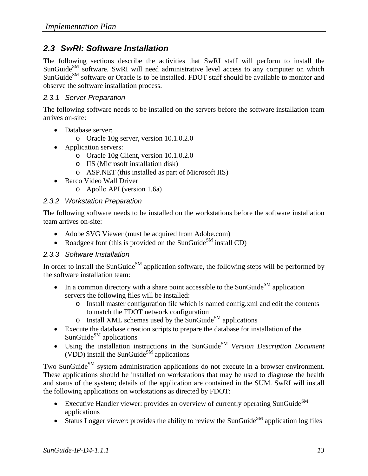#### *2.3 SwRI: Software Installation*

The following sections describe the activities that SwRI staff will perform to install the SunGuide<sup>SM</sup> software. SwRI will need administrative level access to any computer on which SunGuide<sup>SM</sup> software or Oracle is to be installed. FDOT staff should be available to monitor and observe the software installation process.

#### *2.3.1 Server Preparation*

The following software needs to be installed on the servers before the software installation team arrives on-site:

- Database server:
	- o Oracle 10g server, version 10.1.0.2.0
- Application servers:
	- o Oracle 10g Client, version 10.1.0.2.0
	- o IIS (Microsoft installation disk)
	- o ASP.NET (this installed as part of Microsoft IIS)
- Barco Video Wall Driver
	- o Apollo API (version 1.6a)

#### *2.3.2 Workstation Preparation*

The following software needs to be installed on the workstations before the software installation team arrives on-site:

- Adobe SVG Viewer (must be acquired from Adobe.com)
- Roadgeek font (this is provided on the SunGuide<sup>SM</sup> install CD)

#### *2.3.3 Software Installation*

In order to install the SunGuide<sup>SM</sup> application software, the following steps will be performed by the software installation team:

- In a common directory with a share point accessible to the SunGuide<sup>SM</sup> application servers the following files will be installed:
	- o Install master configuration file which is named config.xml and edit the contents to match the FDOT network configuration
	- $\circ$  Install XML schemas used by the SunGuide<sup>SM</sup> applications
- Execute the database creation scripts to prepare the database for installation of the SunGuide $^{SM}$  applications
- Using the installation instructions in the SunGuide<sup>SM</sup> *Version Description Document* (VDD) install the SunGuide<sup>SM</sup> applications

Two SunGuide<sup>SM</sup> system administration applications do not execute in a browser environment. These applications should be installed on workstations that may be used to diagnose the health and status of the system; details of the application are contained in the SUM. SwRI will install the following applications on workstations as directed by FDOT:

- Executive Handler viewer: provides an overview of currently operating SunGuide $^{SM}$ applications
- Status Logger viewer: provides the ability to review the SunGuide<sup>SM</sup> application log files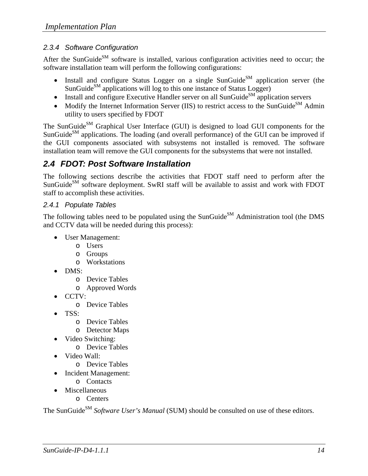#### *2.3.4 Software Configuration*

After the SunGuide<sup>SM</sup> software is installed, various configuration activities need to occur; the software installation team will perform the following configurations:

- Install and configure Status Logger on a single SunGuide<sup>SM</sup> application server (the SunGuide $^{SM}$  applications will log to this one instance of Status Logger)
- Install and configure Executive Handler server on all SunGuide<sup>SM</sup> application servers
- Modify the Internet Information Server (IIS) to restrict access to the SunGuide<sup>SM</sup> Admin utility to users specified by FDOT

The SunGuide<sup>SM</sup> Graphical User Interface (GUI) is designed to load GUI components for the SunGuide<sup>SM</sup> applications. The loading (and overall performance) of the GUI can be improved if the GUI components associated with subsystems not installed is removed. The software installation team will remove the GUI components for the subsystems that were not installed.

### *2.4 FDOT: Post Software Installation*

The following sections describe the activities that FDOT staff need to perform after the SunGuide<sup>SM</sup> software deployment. SwRI staff will be available to assist and work with FDOT staff to accomplish these activities.

#### *2.4.1 Populate Tables*

The following tables need to be populated using the SunGuide<sup>SM</sup> Administration tool (the DMS and CCTV data will be needed during this process):

- User Management:
	- o Users
	- o Groups
	- o Workstations
- DMS:
	- o Device Tables
	- o Approved Words
- CCTV:
	- o Device Tables
- TSS:
	- o Device Tables
	- o Detector Maps
- Video Switching:
	- o Device Tables
- Video Wall:
	- o Device Tables
- Incident Management:
	- o Contacts
- **Miscellaneous** 
	- o Centers

The SunGuide<sup>SM</sup> *Software User's Manual* (SUM) should be consulted on use of these editors.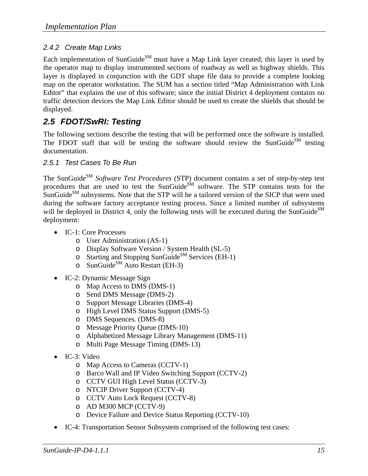#### *2.4.2 Create Map Links*

Each implementation of SunGuide<sup>SM</sup> must have a Map Link layer created; this layer is used by the operator map to display instrumented sections of roadway as well as highway shields. This layer is displayed in conjunction with the GDT shape file data to provide a complete looking map on the operator workstation. The SUM has a section titled "Map Administration with Link Editor" that explains the use of this software; since the initial District 4 deployment contains no traffic detection devices the Map Link Editor should be used to create the shields that should be displayed.

### *2.5 FDOT/SwRI: Testing*

The following sections describe the testing that will be performed once the software is installed. The FDOT staff that will be testing the software should review the SunGuide<sup>SM</sup> testing documentation.

#### *2.5.1 Test Cases To Be Run*

The SunGuide<sup>SM</sup> Software Test Procedures (STP) document contains a set of step-by-step test procedures that are used to test the SunGuide<sup>SM</sup> software. The STP contains tests for the  $\text{SumGuide}^{\text{SM}}$  subsystems. Note that the STP will be a tailored version of the SICP that were used during the software factory acceptance testing process. Since a limited number of subsystems will be deployed in District 4, only the following tests will be executed during the SunGuide<sup>SM</sup> deployment:

- IC-1: Core Processes
	- o User Administration (AS-1)
	- o Display Software Version / System Health (SL-5)
	- o Starting and Stopping SunGuide<sup>SM</sup> Services (EH-1)
	- $\circ$  SunGuide<sup>SM</sup> Auto Restart (EH-3)
- IC-2: Dynamic Message Sign
	- o Map Access to DMS (DMS-1)
	- o Send DMS Message (DMS-2)
	- o Support Message Libraries (DMS-4)
	- o High Level DMS Status Support (DMS-5)
	- o DMS Sequences. (DMS-8)
	- o Message Priority Queue (DMS-10)
	- o Alphabetized Message Library Management (DMS-11)
	- o Multi Page Message Timing (DMS-13)
- IC-3: Video
	- o Map Access to Cameras (CCTV-1)
	- o Barco Wall and IP Video Switching Support (CCTV-2)
	- o CCTV GUI High Level Status (CCTV-3)
	- o NTCIP Driver Support (CCTV-4)
	- o CCTV Auto Lock Request (CCTV-8)
	- o AD M300 MCP (CCTV-9)
	- o Device Failure and Device Status Reporting (CCTV-10)
- IC-4: Transportation Sensor Subsystem comprised of the following test cases: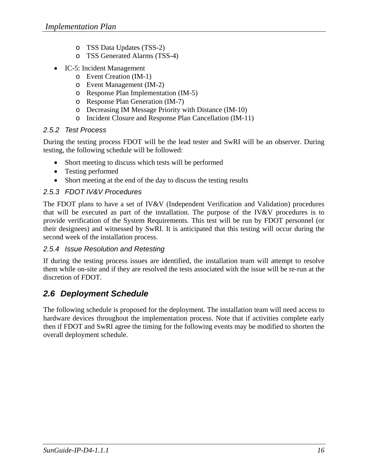- o TSS Data Updates (TSS-2)
- o TSS Generated Alarms (TSS-4)
- IC-5: Incident Management
	- o Event Creation (IM-1)
	- o Event Management (IM-2)
	- o Response Plan Implementation (IM-5)
	- o Response Plan Generation (IM-7)
	- o Decreasing IM Message Priority with Distance (IM-10)
	- o Incident Closure and Response Plan Cancellation (IM-11)

#### *2.5.2 Test Process*

During the testing process FDOT will be the lead tester and SwRI will be an observer. During testing, the following schedule will be followed:

- Short meeting to discuss which tests will be performed
- Testing performed
- Short meeting at the end of the day to discuss the testing results

#### *2.5.3 FDOT IV&V Procedures*

The FDOT plans to have a set of IV&V (Independent Verification and Validation) procedures that will be executed as part of the installation. The purpose of the IV&V procedures is to provide verification of the System Requirements. This test will be run by FDOT personnel (or their designees) and witnessed by SwRI. It is anticipated that this testing will occur during the second week of the installation process.

#### *2.5.4 Issue Resolution and Retesting*

If during the testing process issues are identified, the installation team will attempt to resolve them while on-site and if they are resolved the tests associated with the issue will be re-run at the discretion of FDOT.

### *2.6 Deployment Schedule*

The following schedule is proposed for the deployment. The installation team will need access to hardware devices throughout the implementation process. Note that if activities complete early then if FDOT and SwRI agree the timing for the following events may be modified to shorten the overall deployment schedule.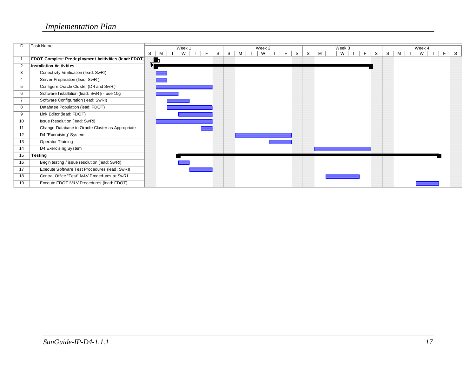| ID | Task Name                                            |   |                      | Week 1 |  |   |   |   | Week 2 |    |   |   | Week 4 |             |  |   |   |  |   |  |   |  |    |    |
|----|------------------------------------------------------|---|----------------------|--------|--|---|---|---|--------|----|---|---|--------|-------------|--|---|---|--|---|--|---|--|----|----|
|    |                                                      | S | M                    | W      |  | S | S | М | W      | F. | S | S | м      | Week 3<br>W |  | S | S |  | М |  | W |  | F. | S. |
|    | FDOT Complete Predeployment Acitivities (lead: FDOT) |   | $\frac{1}{\sqrt{2}}$ |        |  |   |   |   |        |    |   |   |        |             |  |   |   |  |   |  |   |  |    |    |
| 2  | <b>Installation Acitivities</b>                      |   |                      |        |  |   |   |   |        |    |   |   |        |             |  |   |   |  |   |  |   |  |    |    |
| 3  | Conectivity Verification (lead: SwRI)                |   |                      |        |  |   |   |   |        |    |   |   |        |             |  |   |   |  |   |  |   |  |    |    |
| 4  | Server Preparation (lead: SwRI)                      |   |                      |        |  |   |   |   |        |    |   |   |        |             |  |   |   |  |   |  |   |  |    |    |
| 5  | Configure Oracle Cluster (D4 and SwRI)               |   |                      |        |  |   |   |   |        |    |   |   |        |             |  |   |   |  |   |  |   |  |    |    |
| 6  | Software Installation (lead: SwRI) - use 10g         |   |                      |        |  |   |   |   |        |    |   |   |        |             |  |   |   |  |   |  |   |  |    |    |
|    | Software Configuration (lead: SwRI)                  |   |                      |        |  |   |   |   |        |    |   |   |        |             |  |   |   |  |   |  |   |  |    |    |
| 8  | Database Population (lead: FDOT)                     |   |                      |        |  |   |   |   |        |    |   |   |        |             |  |   |   |  |   |  |   |  |    |    |
| 9  | Link Editor (lead: FDOT)                             |   |                      |        |  |   |   |   |        |    |   |   |        |             |  |   |   |  |   |  |   |  |    |    |
| 10 | Issue Resolution (lead: SwRI)                        |   |                      |        |  |   |   |   |        |    |   |   |        |             |  |   |   |  |   |  |   |  |    |    |
| 11 | Change Database to Oracle Cluster as Appropriate     |   |                      |        |  |   |   |   |        |    |   |   |        |             |  |   |   |  |   |  |   |  |    |    |
| 12 | D4 "Exercising" System                               |   |                      |        |  |   |   |   |        |    |   |   |        |             |  |   |   |  |   |  |   |  |    |    |
| 13 | <b>Operator Training</b>                             |   |                      |        |  |   |   |   |        |    |   |   |        |             |  |   |   |  |   |  |   |  |    |    |
| 14 | D4 Exercising System                                 |   |                      |        |  |   |   |   |        |    |   |   |        |             |  |   |   |  |   |  |   |  |    |    |
| 15 | Testing                                              |   |                      |        |  |   |   |   |        |    |   |   |        |             |  |   |   |  |   |  |   |  |    |    |
| 16 | Begin testing / issue resolution (lead: SwRI)        |   |                      |        |  |   |   |   |        |    |   |   |        |             |  |   |   |  |   |  |   |  |    |    |
| 17 | Execute Software Test Procedures (lead: SwRI)        |   |                      |        |  |   |   |   |        |    |   |   |        |             |  |   |   |  |   |  |   |  |    |    |
| 18 | Central Office "Test" IV&V Procedures at SwR1        |   |                      |        |  |   |   |   |        |    |   |   |        |             |  |   |   |  |   |  |   |  |    |    |
| 19 | Execute FDOT IV&V Procedures (lead: FDOT)            |   |                      |        |  |   |   |   |        |    |   |   |        |             |  |   |   |  |   |  |   |  |    |    |